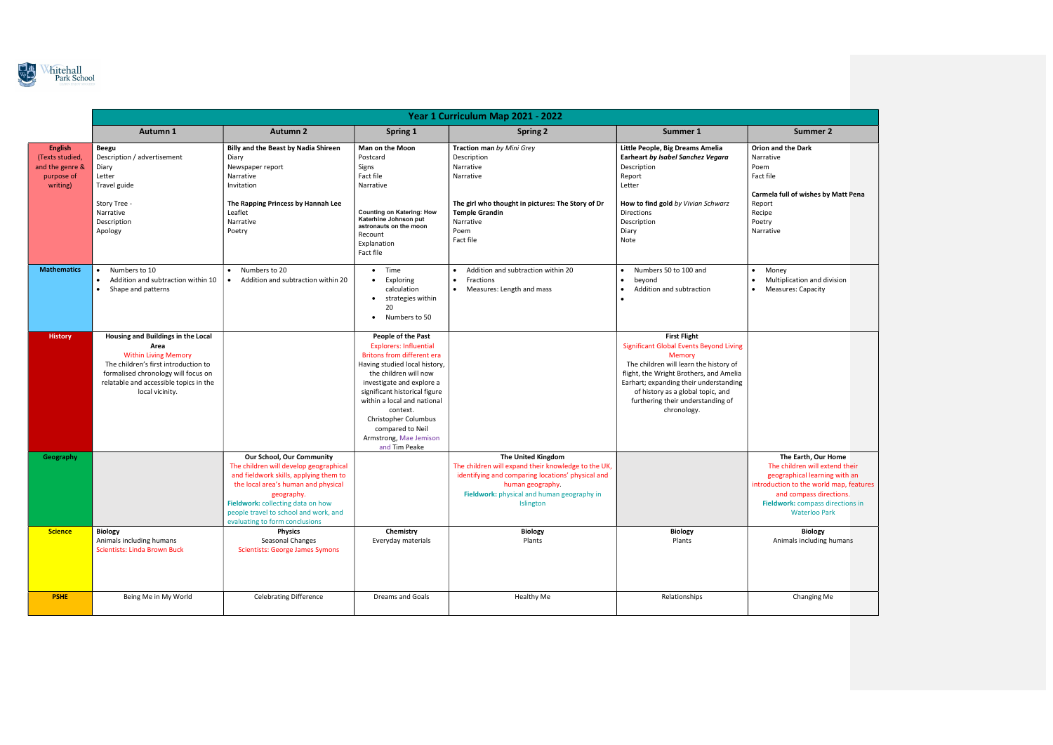

|                                                                                | Year 1 Curriculum Map 2021 - 2022                                                                                                                                                                                     |                                                                                                                                                                                                                                                                                           |                                                                                                                                                                                                                                                                                                                                                    |                                                                                                                                                                                                                      |                                                                                                                                                                                                                                                                                                         |                                                                                                                                                                  |
|--------------------------------------------------------------------------------|-----------------------------------------------------------------------------------------------------------------------------------------------------------------------------------------------------------------------|-------------------------------------------------------------------------------------------------------------------------------------------------------------------------------------------------------------------------------------------------------------------------------------------|----------------------------------------------------------------------------------------------------------------------------------------------------------------------------------------------------------------------------------------------------------------------------------------------------------------------------------------------------|----------------------------------------------------------------------------------------------------------------------------------------------------------------------------------------------------------------------|---------------------------------------------------------------------------------------------------------------------------------------------------------------------------------------------------------------------------------------------------------------------------------------------------------|------------------------------------------------------------------------------------------------------------------------------------------------------------------|
|                                                                                | Autumn 1                                                                                                                                                                                                              | <b>Autumn 2</b>                                                                                                                                                                                                                                                                           | Spring 1                                                                                                                                                                                                                                                                                                                                           | <b>Spring 2</b>                                                                                                                                                                                                      | Summer 1                                                                                                                                                                                                                                                                                                | <b>Summer 2</b>                                                                                                                                                  |
| <b>English</b><br>(Texts studied,<br>and the genre &<br>purpose of<br>writing) | Beegu<br>Description / advertisement<br>Diary<br>Letter<br>Travel guide                                                                                                                                               | <b>Billy and the Beast by Nadia Shireen</b><br>Diary<br>Newspaper report<br>Narrative<br>Invitation                                                                                                                                                                                       | Man on the Moon<br>Postcard<br>Signs<br>Fact file<br>Narrative                                                                                                                                                                                                                                                                                     | Traction man by Mini Grey<br>Description<br>Narrative<br>Narrative                                                                                                                                                   | Little People, Big Dreams Amelia<br>Earheart by Isabel Sanchez Vegara<br>Description<br>Report<br>Letter                                                                                                                                                                                                | <b>Orion and the Dark</b><br>Narrative<br>Poem<br>Fact file<br>Carmela full of wishes by                                                                         |
|                                                                                | Story Tree -<br>Narrative<br>Description<br>Apology                                                                                                                                                                   | The Rapping Princess by Hannah Lee<br>Leaflet<br>Narrative<br>Poetry                                                                                                                                                                                                                      | <b>Counting on Katering: How</b><br>Katerhine Johnson put<br>astronauts on the moon<br>Recount<br>Explanation<br>Fact file                                                                                                                                                                                                                         | The girl who thought in pictures: The Story of Dr<br><b>Temple Grandin</b><br>Narrative<br>Poem<br>Fact file                                                                                                         | How to find gold by Vivian Schwarz<br>Directions<br>Description<br>Diary<br>Note                                                                                                                                                                                                                        | Report<br>Recipe<br>Poetry<br>Narrative                                                                                                                          |
| <b>Mathematics</b>                                                             | Numbers to 10<br>Addition and subtraction within 10<br>$\bullet$<br>Shape and patterns<br>$\bullet$                                                                                                                   | Numbers to 20<br>Addition and subtraction within 20<br>$\bullet$                                                                                                                                                                                                                          | Time<br>$\bullet$<br>Exploring<br>$\bullet$<br>calculation<br>strategies within<br>$\bullet$<br>20<br>Numbers to 50<br>٠                                                                                                                                                                                                                           | Addition and subtraction within 20<br>Fractions<br>Measures: Length and mass<br>$\bullet$                                                                                                                            | Numbers 50 to 100 and<br>$\bullet$<br>beyond<br>Addition and subtraction<br>$\bullet$                                                                                                                                                                                                                   | Money<br>$\bullet$<br>Multiplication and div<br><b>Measures: Capacity</b><br>$\bullet$                                                                           |
| <b>History</b>                                                                 | Housing and Buildings in the Local<br>Area<br><b>Within Living Memory</b><br>The children's first introduction to<br>formalised chronology will focus on<br>relatable and accessible topics in the<br>local vicinity. |                                                                                                                                                                                                                                                                                           | People of the Past<br><b>Explorers: Influential</b><br><b>Britons from different era</b><br>Having studied local history,<br>the children will now<br>investigate and explore a<br>significant historical figure<br>within a local and national<br>context.<br>Christopher Columbus<br>compared to Neil<br>Armstrong, Mae Jemison<br>and Tim Peake |                                                                                                                                                                                                                      | <b>First Flight</b><br><b>Significant Global Events Beyond Living</b><br>Memory<br>The children will learn the history of<br>flight, the Wright Brothers, and Amelia<br>Earhart; expanding their understanding<br>of history as a global topic, and<br>furthering their understanding of<br>chronology. |                                                                                                                                                                  |
| Geography                                                                      |                                                                                                                                                                                                                       | <b>Our School, Our Community</b><br>The children will develop geographical<br>and fieldwork skills, applying them to<br>the local area's human and physical<br>geography.<br>Fieldwork: collecting data on how<br>people travel to school and work, and<br>evaluating to form conclusions |                                                                                                                                                                                                                                                                                                                                                    | <b>The United Kingdom</b><br>The children will expand their knowledge to the UK,<br>identifying and comparing locations' physical and<br>human geography.<br>Fieldwork: physical and human geography in<br>Islington |                                                                                                                                                                                                                                                                                                         | The Earth, Our H<br>The children will exte<br>geographical learning<br>introduction to the world<br>and compass direc<br>Fieldwork: compass dir<br>Waterloo Parl |
| <b>Science</b>                                                                 | <b>Biology</b><br>Animals including humans<br><b>Scientists: Linda Brown Buck</b>                                                                                                                                     | <b>Physics</b><br>Seasonal Changes<br><b>Scientists: George James Symons</b>                                                                                                                                                                                                              | Chemistry<br>Everyday materials                                                                                                                                                                                                                                                                                                                    | <b>Biology</b><br>Plants                                                                                                                                                                                             | <b>Biology</b><br>Plants                                                                                                                                                                                                                                                                                | <b>Biology</b><br>Animals including h                                                                                                                            |
| <b>PSHE</b>                                                                    | Being Me in My World                                                                                                                                                                                                  | <b>Celebrating Difference</b>                                                                                                                                                                                                                                                             | Dreams and Goals                                                                                                                                                                                                                                                                                                                                   | <b>Healthy Me</b>                                                                                                                                                                                                    | Relationships                                                                                                                                                                                                                                                                                           | Changing Me                                                                                                                                                      |

| <b>Summer 2</b>                                                                                                                                                                                                          |  |  |  |  |  |
|--------------------------------------------------------------------------------------------------------------------------------------------------------------------------------------------------------------------------|--|--|--|--|--|
| <b>Orion and the Dark</b><br>Narrative<br>Poem<br>Fact file                                                                                                                                                              |  |  |  |  |  |
| Carmela full of wishes by Matt Pena<br>Report<br>Recipe<br>Poetry<br>Narrative                                                                                                                                           |  |  |  |  |  |
| Money<br>٠<br>Multiplication and division<br>$\bullet$<br><b>Measures: Capacity</b>                                                                                                                                      |  |  |  |  |  |
|                                                                                                                                                                                                                          |  |  |  |  |  |
|                                                                                                                                                                                                                          |  |  |  |  |  |
|                                                                                                                                                                                                                          |  |  |  |  |  |
| The Earth, Our Home<br>The children will extend their<br>geographical learning with an<br>introduction to the world map, features<br>and compass directions.<br>Fieldwork: compass directions in<br><b>Waterloo Park</b> |  |  |  |  |  |
| <b>Biology</b><br>Animals including humans                                                                                                                                                                               |  |  |  |  |  |
| <b>Changing Me</b>                                                                                                                                                                                                       |  |  |  |  |  |
|                                                                                                                                                                                                                          |  |  |  |  |  |